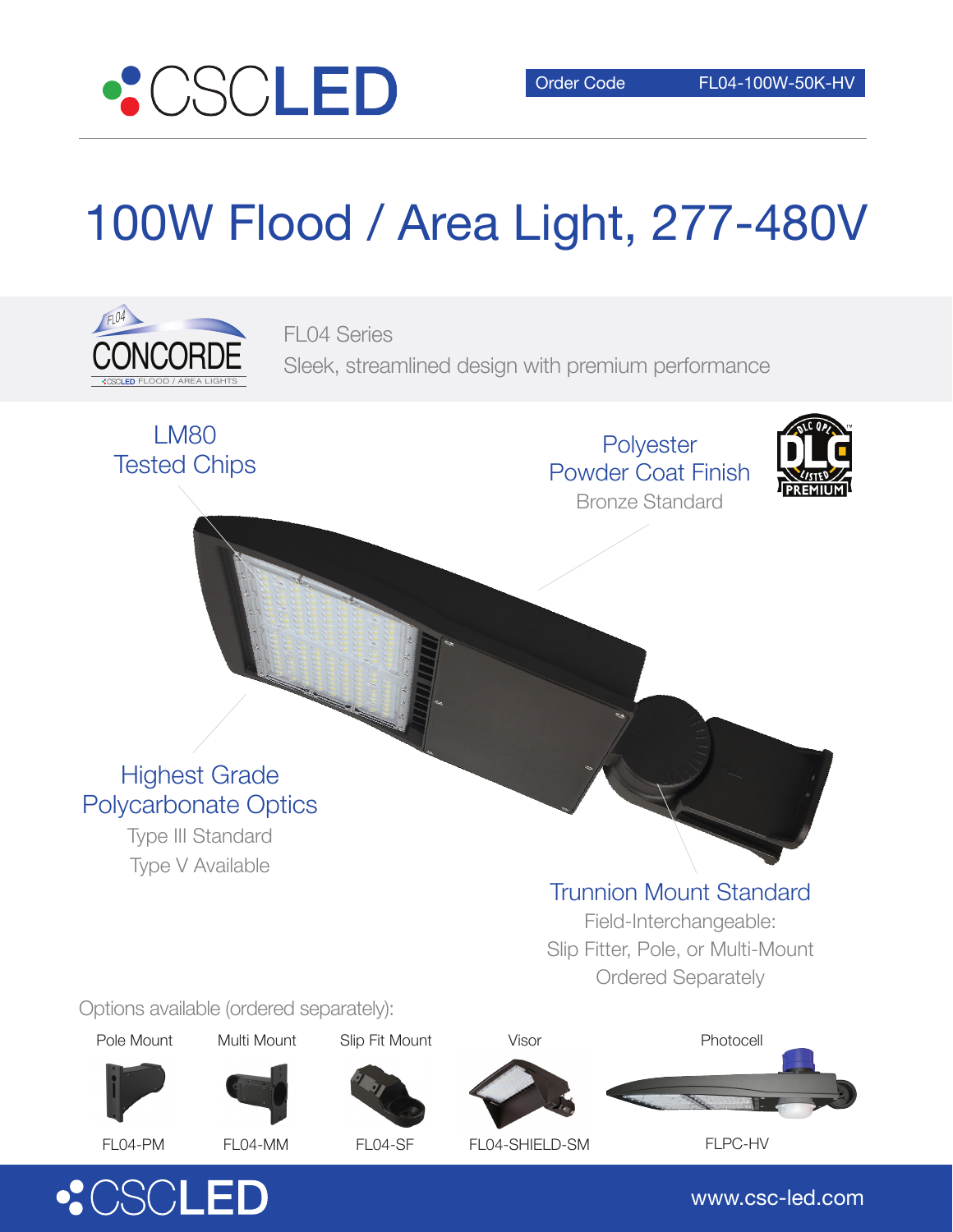

# 100W Flood / Area Light, 277-480V



FL04 Series Sleek, streamlined design with premium performance



**Polyester** Powder Coat Finish Bronze Standard



## Highest Grade Polycarbonate Optics

Type III Standard Type V Available

### Trunnion Mount Standard

Field-Interchangeable: Slip Fitter, Pole, or Multi-Mount Ordered Separately

Options available (ordered separately):

Pole Mount

Multi Mount





Photocell















FL04-PM

FL04-MM

FL04-SF FL04-SHIELD-SM FLPC-HV

www.csc-led.com